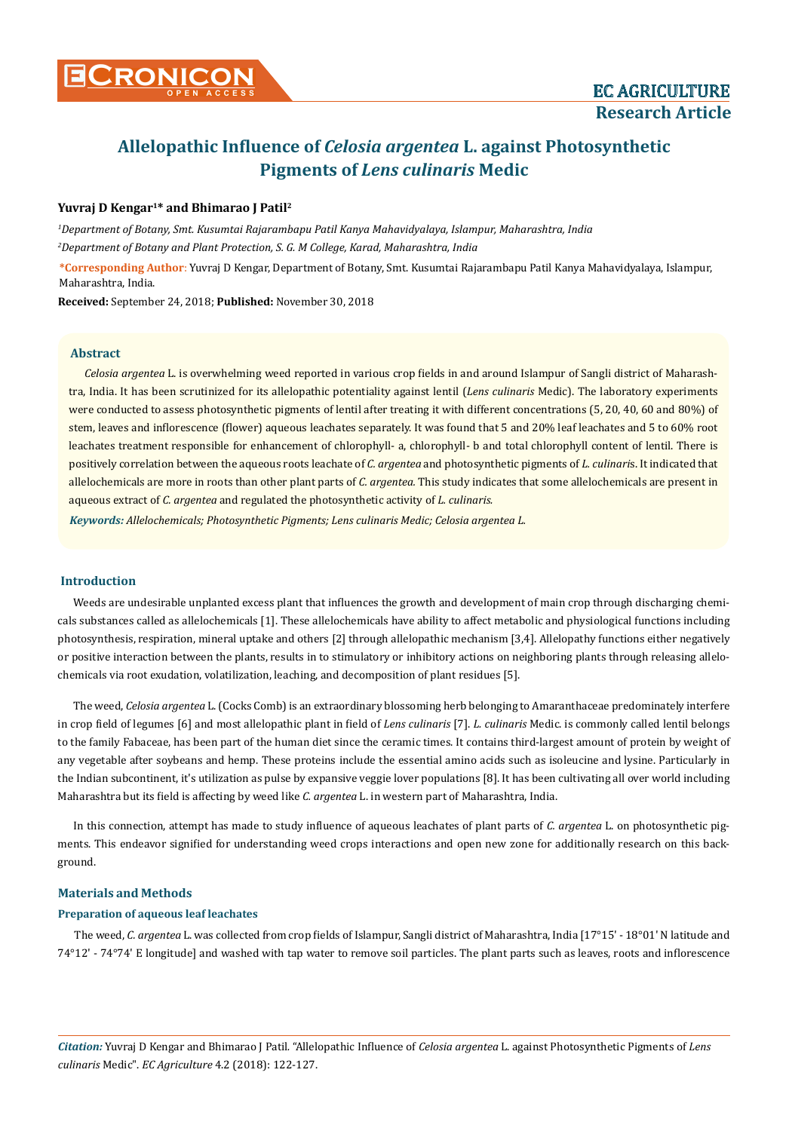

# **Allelopathic Influence of** *Celosia argentea* **L. against Photosynthetic Pigments of** *Lens culinaris* **Medic**

## **Yuvraj D Kengar1\* and Bhimarao J Patil2**

*1 Department of Botany, Smt. Kusumtai Rajarambapu Patil Kanya Mahavidyalaya, Islampur, Maharashtra, India 2 Department of Botany and Plant Protection, S. G. M College, Karad, Maharashtra, India*

**\*Corresponding Author**: Yuvraj D Kengar, Department of Botany, Smt. Kusumtai Rajarambapu Patil Kanya Mahavidyalaya, Islampur, Maharashtra, India.

**Received:** September 24, 2018; **Published:** November 30, 2018

## **Abstract**

*Celosia argentea* L. is overwhelming weed reported in various crop fields in and around Islampur of Sangli district of Maharashtra, India. It has been scrutinized for its allelopathic potentiality against lentil (*Lens culinaris* Medic). The laboratory experiments were conducted to assess photosynthetic pigments of lentil after treating it with different concentrations (5, 20, 40, 60 and 80%) of stem, leaves and inflorescence (flower) aqueous leachates separately. It was found that 5 and 20% leaf leachates and 5 to 60% root leachates treatment responsible for enhancement of chlorophyll- a, chlorophyll- b and total chlorophyll content of lentil. There is positively correlation between the aqueous roots leachate of *C. argentea* and photosynthetic pigments of *L. culinari*s. It indicated that allelochemicals are more in roots than other plant parts of *C. argentea.* This study indicates that some allelochemicals are present in aqueous extract of *C. argentea* and regulated the photosynthetic activity of *L. culinaris.* 

*Keywords: Allelochemicals; Photosynthetic Pigments; Lens culinaris Medic; Celosia argentea L.* 

## **Introduction**

Weeds are undesirable unplanted excess plant that influences the growth and development of main crop through discharging chemicals substances called as allelochemicals [1]. These allelochemicals have ability to affect metabolic and physiological functions including photosynthesis, respiration, mineral uptake and others [2] through allelopathic mechanism [3,4]. Allelopathy functions either negatively or positive interaction between the plants, results in to stimulatory or inhibitory actions on neighboring plants through releasing allelochemicals via root exudation, volatilization, leaching, and decomposition of plant residues [5].

The weed, *Celosia argentea* L. (Cocks Comb) is an extraordinary blossoming herb belonging to Amaranthaceae predominately interfere in crop field of legumes [6] and most allelopathic plant in field of *Lens culinaris* [7]. *L. culinaris* Medic. is commonly called lentil belongs to the family Fabaceae, has been part of the human diet since the ceramic times. It contains third-largest amount of protein by weight of any vegetable after soybeans and hemp. These proteins include the essential amino acids such as isoleucine and lysine. Particularly in the Indian subcontinent, it's utilization as pulse by expansive veggie lover populations [8]. It has been cultivating all over world including Maharashtra but its field is affecting by weed like *C. argentea* L. in western part of Maharashtra, India.

In this connection, attempt has made to study influence of aqueous leachates of plant parts of *C. argentea* L. on photosynthetic pigments. This endeavor signified for understanding weed crops interactions and open new zone for additionally research on this background.

#### **Materials and Methods**

#### **Preparation of aqueous leaf leachates**

The weed, *C. argentea* L. was collected from crop fields of Islampur, Sangli district of Maharashtra, India [17°15' - 18°01' N latitude and 74°12' - 74°74' E longitude] and washed with tap water to remove soil particles. The plant parts such as leaves, roots and inflorescence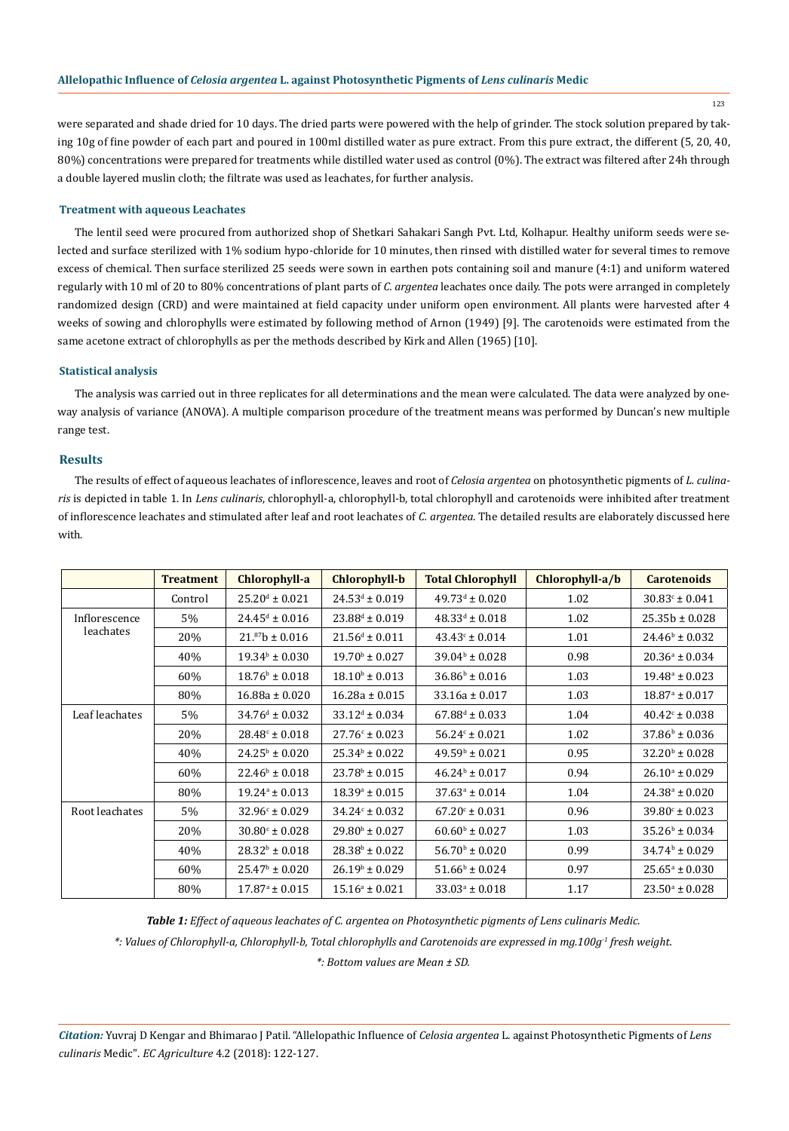123

were separated and shade dried for 10 days. The dried parts were powered with the help of grinder. The stock solution prepared by taking 10g of fine powder of each part and poured in 100ml distilled water as pure extract. From this pure extract, the different (5, 20, 40, 80%) concentrations were prepared for treatments while distilled water used as control (0%). The extract was filtered after 24h through a double layered muslin cloth; the filtrate was used as leachates, for further analysis.

#### **Treatment with aqueous Leachates**

The lentil seed were procured from authorized shop of Shetkari Sahakari Sangh Pvt. Ltd, Kolhapur. Healthy uniform seeds were selected and surface sterilized with 1% sodium hypo-chloride for 10 minutes, then rinsed with distilled water for several times to remove excess of chemical. Then surface sterilized 25 seeds were sown in earthen pots containing soil and manure (4:1) and uniform watered regularly with 10 ml of 20 to 80% concentrations of plant parts of *C. argentea* leachates once daily. The pots were arranged in completely randomized design (CRD) and were maintained at field capacity under uniform open environment. All plants were harvested after 4 weeks of sowing and chlorophylls were estimated by following method of Arnon (1949) [9]. The carotenoids were estimated from the same acetone extract of chlorophylls as per the methods described by Kirk and Allen (1965) [10].

#### **Statistical analysis**

The analysis was carried out in three replicates for all determinations and the mean were calculated. The data were analyzed by oneway analysis of variance (ANOVA). A multiple comparison procedure of the treatment means was performed by Duncan's new multiple range test.

## **Results**

The results of effect of aqueous leachates of inflorescence, leaves and root of *Celosia argentea* on photosynthetic pigments of *L. culinaris* is depicted in table 1. In *Lens culinaris*, chlorophyll-a, chlorophyll-b, total chlorophyll and carotenoids were inhibited after treatment of inflorescence leachates and stimulated after leaf and root leachates of *C. argentea*. The detailed results are elaborately discussed here with.

|                            | <b>Treatment</b> | Chlorophyll-a                | <b>Chlorophyll-b</b>      | <b>Total Chlorophyll</b>     | Chlorophyll-a/b | <b>Carotenoids</b>        |
|----------------------------|------------------|------------------------------|---------------------------|------------------------------|-----------------|---------------------------|
|                            | Control          | $25.20^{\text{d}} \pm 0.021$ | $24.53^d \pm 0.019$       | $49.73^{\text{d}} \pm 0.020$ | 1.02            | $30.83^{\circ} \pm 0.041$ |
| Inflorescence<br>leachates | 5%               | $24.45^{\text{d}} \pm 0.016$ | $23.88^d \pm 0.019$       | $48.33^d \pm 0.018$          | 1.02            | $25.35b \pm 0.028$        |
|                            | 20%              | $21.^{87}b \pm 0.016$        | $21.56^d \pm 0.011$       | $43.43^{\circ} \pm 0.014$    | 1.01            | $24.46^b \pm 0.032$       |
|                            | 40%              | $19.34b \pm 0.030$           | $19.70^{\rm b} \pm 0.027$ | $39.04b \pm 0.028$           | 0.98            | $20.36^a \pm 0.034$       |
|                            | 60%              | $18.76^b \pm 0.018$          | $18.10^b \pm 0.013$       | $36.86^b \pm 0.016$          | 1.03            | $19.48^{\circ} \pm 0.023$ |
|                            | 80%              | $16.88a \pm 0.020$           | $16.28a \pm 0.015$        | $33.16a \pm 0.017$           | 1.03            | $18.87^{\circ} \pm 0.017$ |
| Leaf leachates             | 5%               | $34.76^{\text{d}} \pm 0.032$ | $33.12^d \pm 0.034$       | $67.88^{\text{d}} \pm 0.033$ | 1.04            | $40.42^{\circ} \pm 0.038$ |
|                            | 20%              | $28.48^{\circ} \pm 0.018$    | $27.76c \pm 0.023$        | $56.24c \pm 0.021$           | 1.02            | $37.86^b \pm 0.036$       |
|                            | 40%              | $24.25^{\rm b} \pm 0.020$    | $25.34b \pm 0.022$        | $49.59b \pm 0.021$           | 0.95            | $32.20^{\rm b} \pm 0.028$ |
|                            | 60%              | $22.46^b \pm 0.018$          | $23.78^{\circ} \pm 0.015$ | $46.24b \pm 0.017$           | 0.94            | $26.10^a \pm 0.029$       |
|                            | 80%              | $19.24^a \pm 0.013$          | $18.39^{\circ} \pm 0.015$ | $37.63^{\circ} \pm 0.014$    | 1.04            | $24.38^{\circ} \pm 0.020$ |
| Root leachates             | $5\%$            | $32.96c \pm 0.029$           | $34.24c \pm 0.032$        | $67.20^{\circ} \pm 0.031$    | 0.96            | $39.80^{\circ} \pm 0.023$ |
|                            | 20%              | $30.80^{\circ} \pm 0.028$    | $29.80^{\rm b} \pm 0.027$ | $60.60^{\rm b} \pm 0.027$    | 1.03            | $35.26^{\circ} \pm 0.034$ |
|                            | 40%              | $28.32^b \pm 0.018$          | $28.38^b \pm 0.022$       | $56.70^{\rm b} \pm 0.020$    | 0.99            | $34.74b \pm 0.029$        |
|                            | 60%              | $25.47^{\rm b} \pm 0.020$    | $26.19^{\circ} \pm 0.029$ | $51.66^b \pm 0.024$          | 0.97            | $25.65^{\circ} \pm 0.030$ |
|                            | 80%              | $17.87^{\circ} \pm 0.015$    | $15.16^a \pm 0.021$       | $33.03^a \pm 0.018$          | 1.17            | $23.50^{\circ} \pm 0.028$ |

*Table 1: Effect of aqueous leachates of C. argentea on Photosynthetic pigments of Lens culinaris Medic.*

*\*: Values of Chlorophyll-a, Chlorophyll-b, Total chlorophylls and Carotenoids are expressed in mg.100g-1 fresh weight.* 

*\*: Bottom values are Mean ± SD.*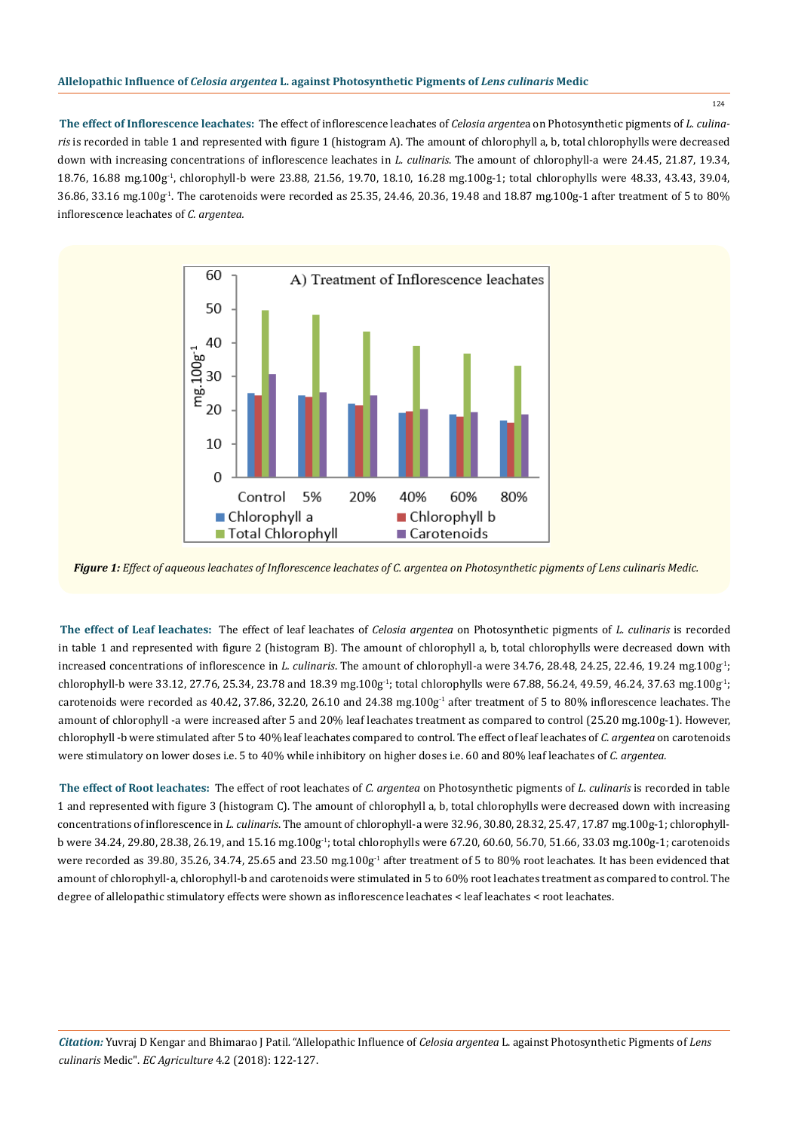**The effect of Inflorescence leachates:** The effect of inflorescence leachates of *Celosia argente*a on Photosynthetic pigments of *L. culinaris* is recorded in table 1 and represented with figure 1 (histogram A). The amount of chlorophyll a, b, total chlorophylls were decreased down with increasing concentrations of inflorescence leachates in *L. culinaris*. The amount of chlorophyll-a were 24.45, 21.87, 19.34, 18.76, 16.88 mg.100g-1, chlorophyll-b were 23.88, 21.56, 19.70, 18.10, 16.28 mg.100g-1; total chlorophylls were 48.33, 43.43, 39.04, 36.86, 33.16 mg.100g-1. The carotenoids were recorded as 25.35, 24.46, 20.36, 19.48 and 18.87 mg.100g-1 after treatment of 5 to 80% inflorescence leachates of *C. argentea.* 



*Figure 1: Effect of aqueous leachates of Inflorescence leachates of C. argentea on Photosynthetic pigments of Lens culinaris Medic.*

**The effect of Leaf leachates:** The effect of leaf leachates of *Celosia argentea* on Photosynthetic pigments of *L. culinaris* is recorded in table 1 and represented with figure 2 (histogram B). The amount of chlorophyll a, b, total chlorophylls were decreased down with increased concentrations of inflorescence in *L. culinaris*. The amount of chlorophyll-a were 34.76, 28.48, 24.25, 22.46, 19.24 mg.100g-1; chlorophyll-b were 33.12, 27.76, 25.34, 23.78 and 18.39 mg.100g<sup>-1</sup>; total chlorophylls were 67.88, 56.24, 49.59, 46.24, 37.63 mg.100g<sup>-1</sup>; carotenoids were recorded as 40.42, 37.86, 32.20, 26.10 and 24.38 mg.100g<sup>-1</sup> after treatment of 5 to 80% inflorescence leachates. The amount of chlorophyll -a were increased after 5 and 20% leaf leachates treatment as compared to control (25.20 mg.100g-1). However, chlorophyll -b were stimulated after 5 to 40% leaf leachates compared to control. The effect of leaf leachates of *C. argentea* on carotenoids were stimulatory on lower doses i.e. 5 to 40% while inhibitory on higher doses i.e. 60 and 80% leaf leachates of *C. argentea.* 

**The effect of Root leachates:** The effect of root leachates of *C. argentea* on Photosynthetic pigments of *L. culinaris* is recorded in table 1 and represented with figure 3 (histogram C). The amount of chlorophyll a, b, total chlorophylls were decreased down with increasing concentrations of inflorescence in *L. culinaris*. The amount of chlorophyll-a were 32.96, 30.80, 28.32, 25.47, 17.87 mg.100g-1; chlorophyllb were 34.24, 29.80, 28.38, 26.19, and 15.16 mg.100g-1; total chlorophylls were 67.20, 60.60, 56.70, 51.66, 33.03 mg.100g-1; carotenoids were recorded as 39.80, 35.26, 34.74, 25.65 and 23.50 mg.100g<sup>1</sup> after treatment of 5 to 80% root leachates. It has been evidenced that amount of chlorophyll-a, chlorophyll-b and carotenoids were stimulated in 5 to 60% root leachates treatment as compared to control. The degree of allelopathic stimulatory effects were shown as inflorescence leachates < leaf leachates < root leachates.

*Citation:* Yuvraj D Kengar and Bhimarao J Patil*.* "Allelopathic Influence of *Celosia argentea* L. against Photosynthetic Pigments of *Lens culinaris* Medic". *EC Agriculture* 4.2 (2018): 122-127.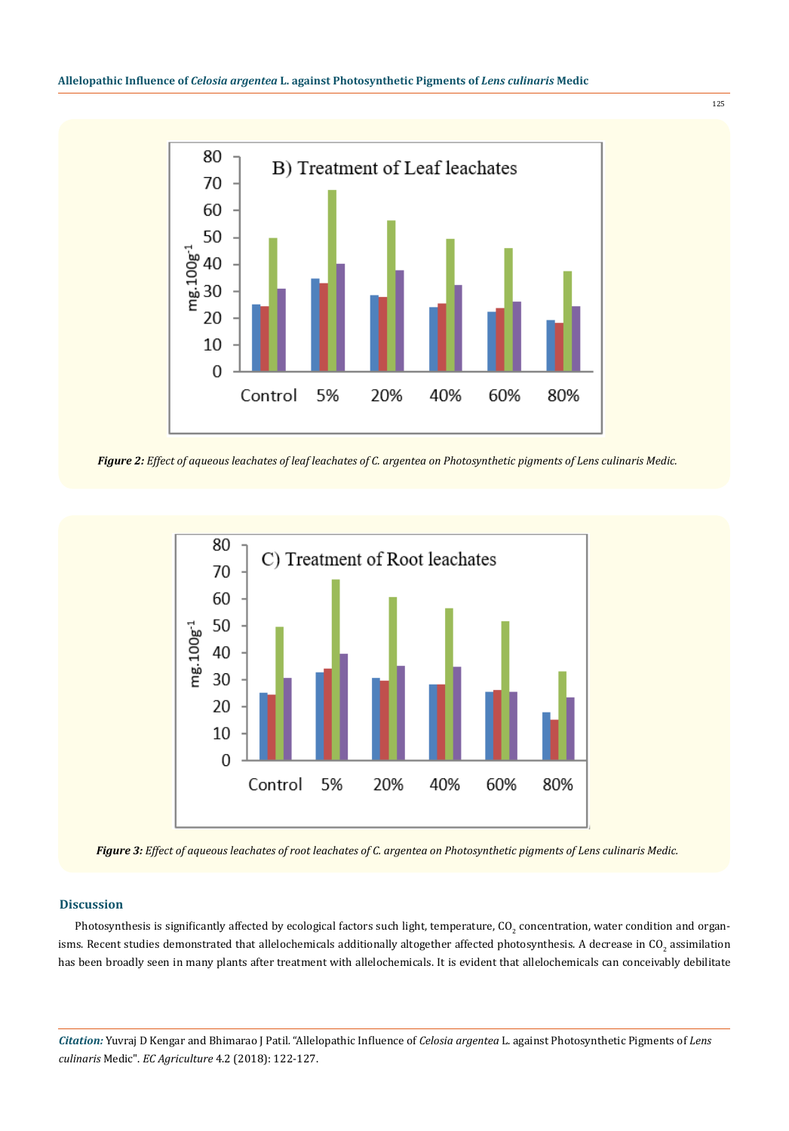

*Figure 2: Effect of aqueous leachates of leaf leachates of C. argentea on Photosynthetic pigments of Lens culinaris Medic.*



*Figure 3: Effect of aqueous leachates of root leachates of C. argentea on Photosynthetic pigments of Lens culinaris Medic.*

## **Discussion**

Photosynthesis is significantly affected by ecological factors such light, temperature, CO<sub>2</sub> concentration, water condition and organisms. Recent studies demonstrated that allelochemicals additionally altogether affected photosynthesis. A decrease in CO<sub>2</sub> assimilation has been broadly seen in many plants after treatment with allelochemicals. It is evident that allelochemicals can conceivably debilitate

*Citation:* Yuvraj D Kengar and Bhimarao J Patil*.* "Allelopathic Influence of *Celosia argentea* L. against Photosynthetic Pigments of *Lens culinaris* Medic". *EC Agriculture* 4.2 (2018): 122-127.

125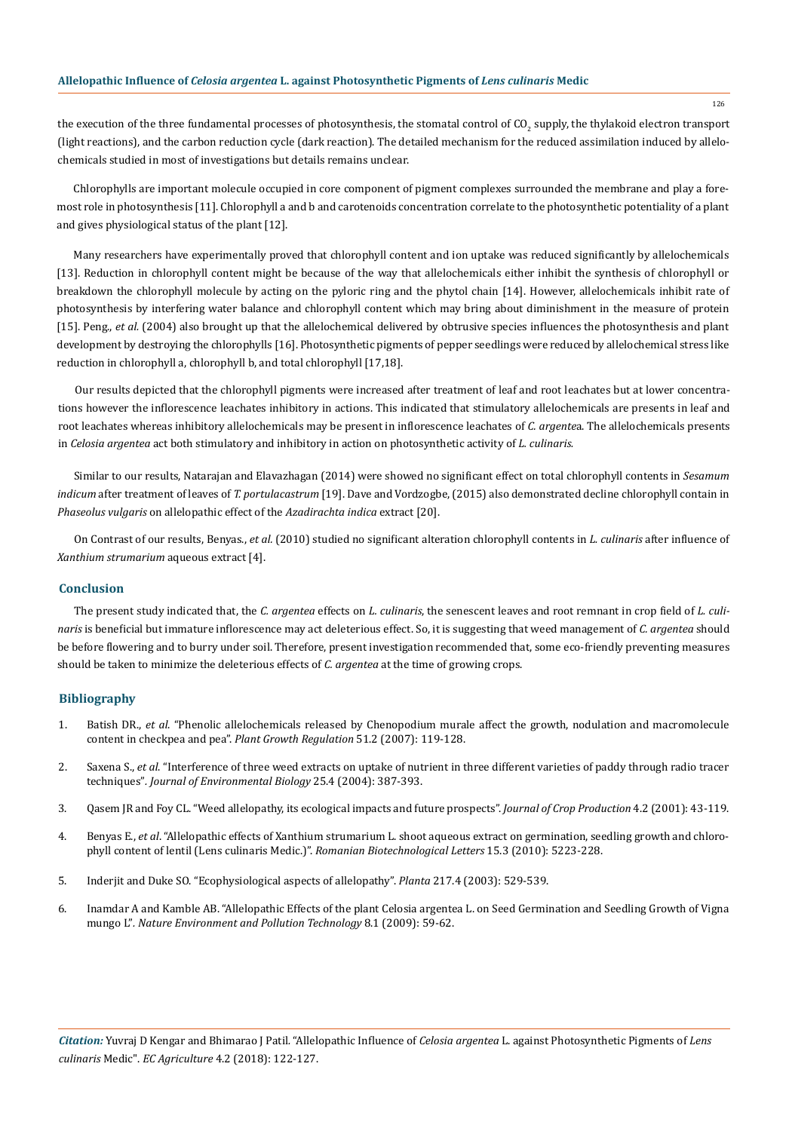the execution of the three fundamental processes of photosynthesis, the stomatal control of CO<sub>2</sub> supply, the thylakoid electron transport (light reactions), and the carbon reduction cycle (dark reaction). The detailed mechanism for the reduced assimilation induced by allelochemicals studied in most of investigations but details remains unclear.

Chlorophylls are important molecule occupied in core component of pigment complexes surrounded the membrane and play a foremost role in photosynthesis [11]. Chlorophyll a and b and carotenoids concentration correlate to the photosynthetic potentiality of a plant and gives physiological status of the plant [12].

Many researchers have experimentally proved that chlorophyll content and ion uptake was reduced significantly by allelochemicals [13]. Reduction in chlorophyll content might be because of the way that allelochemicals either inhibit the synthesis of chlorophyll or breakdown the chlorophyll molecule by acting on the pyloric ring and the phytol chain [14]. However, allelochemicals inhibit rate of photosynthesis by interfering water balance and chlorophyll content which may bring about diminishment in the measure of protein [15]. Peng., *et al.* (2004) also brought up that the allelochemical delivered by obtrusive species influences the photosynthesis and plant development by destroying the chlorophylls [16]. Photosynthetic pigments of pepper seedlings were reduced by allelochemical stress like reduction in chlorophyll a, chlorophyll b, and total chlorophyll [17,18].

Our results depicted that the chlorophyll pigments were increased after treatment of leaf and root leachates but at lower concentrations however the inflorescence leachates inhibitory in actions. This indicated that stimulatory allelochemicals are presents in leaf and root leachates whereas inhibitory allelochemicals may be present in inflorescence leachates of *C. argente*a. The allelochemicals presents in *Celosia argentea* act both stimulatory and inhibitory in action on photosynthetic activity of *L. culinaris.* 

Similar to our results, Natarajan and Elavazhagan (2014) were showed no significant effect on total chlorophyll contents in *Sesamum indicum* after treatment of leaves of *T. portulacastrum* [19]. Dave and Vordzogbe, (2015) also demonstrated decline chlorophyll contain in *Phaseolus vulgaris* on allelopathic effect of the *Azadirachta indica* extract [20].

On Contrast of our results, Benyas., *et al.* (2010) studied no significant alteration chlorophyll contents in *L. culinaris* after influence of *Xanthium strumarium* aqueous extract [4].

#### **Conclusion**

The present study indicated that, the *C. argentea* effects on *L. culinaris*, the senescent leaves and root remnant in crop field of *L. culinaris* is beneficial but immature inflorescence may act deleterious effect. So, it is suggesting that weed management of *C. argentea* should be before flowering and to burry under soil. Therefore, present investigation recommended that, some eco-friendly preventing measures should be taken to minimize the deleterious effects of *C. argentea* at the time of growing crops.

## **Bibliography**

- 1. Batish DR., *et al*[. "Phenolic allelochemicals released by Chenopodium murale affect the growth, nodulation and macromolecule](https://link.springer.com/article/10.1007/s10725-006-9153-z) [content in checkpea and pea".](https://link.springer.com/article/10.1007/s10725-006-9153-z) *Plant Growth Regulation* 51.2 (2007): 119-128.
- 2. Saxena S., *et al*[. "Interference of three weed extracts on uptake of nutrient in three different varieties of paddy through radio tracer](https://www.ncbi.nlm.nih.gov/pubmed/15907065) techniques"*. [Journal of Environmental Biology](https://www.ncbi.nlm.nih.gov/pubmed/15907065)* 25.4 (2004): 387-393.
- 3. [Qasem JR and Foy CL. "Weed allelopathy, its ecological impacts and future prospects".](https://www.researchgate.net/publication/254380149_Weed_Allelopathy_Its_Ecological_Impacts_and_Future_Prospects) *Journal of Crop Production* 4.2 (2001): 43-119.
- 4. Benyas E., *et al*[. "Allelopathic effects of Xanthium strumarium L. shoot aqueous extract on germination, seedling growth and chloro](https://www.rombio.eu/rbl3vol15/2%20Hassanpouradan.pdf)[phyll content of lentil \(Lens culinaris Medic.\)".](https://www.rombio.eu/rbl3vol15/2%20Hassanpouradan.pdf) *Romanian Biotechnological Letters* 15.3 (2010): 5223-228.
- 5. [Inderjit and Duke SO. "Ecophysiological aspects of allelopathy".](https://www.ncbi.nlm.nih.gov/pubmed/12811559) *Planta* 217.4 (2003): 529-539.
- 6. [Inamdar A and Kamble AB. "Allelopathic Effects of the plant Celosia argentea L. on Seed Germination and Seedling Growth of Vigna](http://www.neptjournal.com/upload-images/NL-6-10-(10)B-1268-59-62..pdf) mungo L"*. [Nature Environment and Pollution Technology](http://www.neptjournal.com/upload-images/NL-6-10-(10)B-1268-59-62..pdf)* 8.1 (2009): 59-62.

126